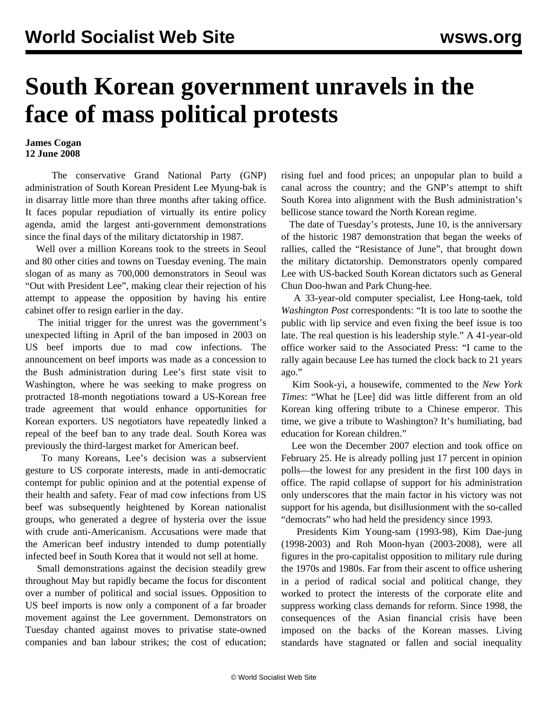## **South Korean government unravels in the face of mass political protests**

## **James Cogan 12 June 2008**

 The conservative Grand National Party (GNP) administration of South Korean President Lee Myung-bak is in disarray little more than three months after taking office. It faces popular repudiation of virtually its entire policy agenda, amid the largest anti-government demonstrations since the final days of the military dictatorship in 1987.

 Well over a million Koreans took to the streets in Seoul and 80 other cities and towns on Tuesday evening. The main slogan of as many as 700,000 demonstrators in Seoul was "Out with President Lee", making clear their rejection of his attempt to appease the opposition by having his entire cabinet offer to resign earlier in the day.

 The initial trigger for the unrest was the government's unexpected lifting in April of the ban imposed in 2003 on US beef imports due to mad cow infections. The announcement on beef imports was made as a concession to the Bush administration during Lee's first state visit to Washington, where he was seeking to make progress on protracted 18-month negotiations toward a US-Korean free trade agreement that would enhance opportunities for Korean exporters. US negotiators have repeatedly linked a repeal of the beef ban to any trade deal. South Korea was previously the third-largest market for American beef.

 To many Koreans, Lee's decision was a subservient gesture to US corporate interests, made in anti-democratic contempt for public opinion and at the potential expense of their health and safety. Fear of mad cow infections from US beef was subsequently heightened by Korean nationalist groups, who generated a degree of hysteria over the issue with crude anti-Americanism. Accusations were made that the American beef industry intended to dump potentially infected beef in South Korea that it would not sell at home.

 Small demonstrations against the decision steadily grew throughout May but rapidly became the focus for discontent over a number of political and social issues. Opposition to US beef imports is now only a component of a far broader movement against the Lee government. Demonstrators on Tuesday chanted against moves to privatise state-owned companies and ban labour strikes; the cost of education; rising fuel and food prices; an unpopular plan to build a canal across the country; and the GNP's attempt to shift South Korea into alignment with the Bush administration's bellicose stance toward the North Korean regime.

 The date of Tuesday's protests, June 10, is the anniversary of the historic 1987 demonstration that began the weeks of rallies, called the "Resistance of June", that brought down the military dictatorship. Demonstrators openly compared Lee with US-backed South Korean dictators such as General Chun Doo-hwan and Park Chung-hee.

 A 33-year-old computer specialist, Lee Hong-taek, told *Washington Post* correspondents: "It is too late to soothe the public with lip service and even fixing the beef issue is too late. The real question is his leadership style." A 41-year-old office worker said to the Associated Press: "I came to the rally again because Lee has turned the clock back to 21 years ago."

 Kim Sook-yi, a housewife, commented to the *New York Times*: "What he [Lee] did was little different from an old Korean king offering tribute to a Chinese emperor. This time, we give a tribute to Washington? It's humiliating, bad education for Korean children."

 Lee won the December 2007 election and took office on February 25. He is already polling just 17 percent in opinion polls—the lowest for any president in the first 100 days in office. The rapid collapse of support for his administration only underscores that the main factor in his victory was not support for his agenda, but disillusionment with the so-called "democrats" who had held the presidency since 1993.

 Presidents Kim Young-sam (1993-98), Kim Dae-jung (1998-2003) and Roh Moon-hyan (2003-2008), were all figures in the pro-capitalist opposition to military rule during the 1970s and 1980s. Far from their ascent to office ushering in a period of radical social and political change, they worked to protect the interests of the corporate elite and suppress working class demands for reform. Since 1998, the consequences of the Asian financial crisis have been imposed on the backs of the Korean masses. Living standards have stagnated or fallen and social inequality